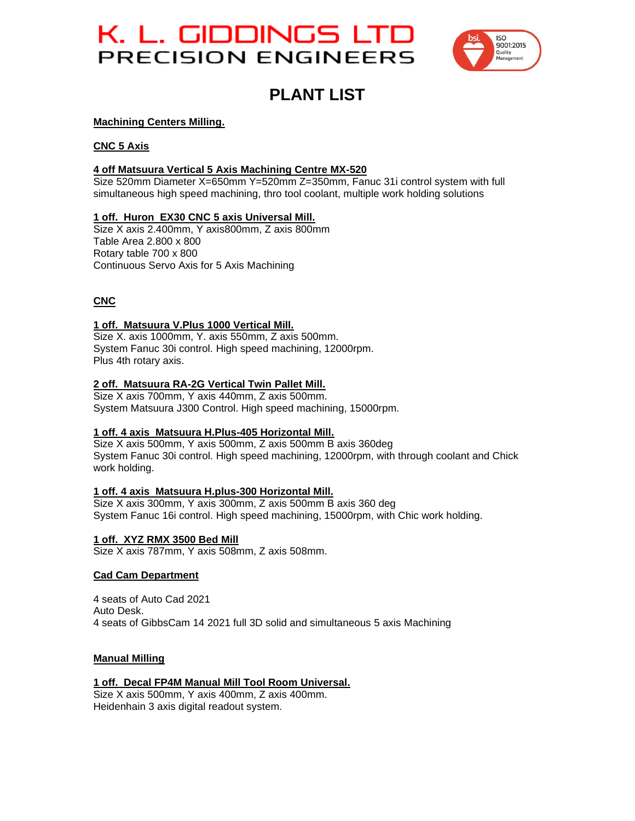# K. L. GIDDINGS LTD PRECISION ENGINEERS



## **PLANT LIST**

#### **Machining Centers Milling.**

#### **CNC 5 Axis**

## **4 off Matsuura Vertical 5 Axis Machining Centre MX-520**

Size 520mm Diameter X=650mm Y=520mm Z=350mm, Fanuc 31i control system with full simultaneous high speed machining, thro tool coolant, multiple work holding solutions

#### **1 off. Huron EX30 CNC 5 axis Universal Mill.**

Size X axis 2.400mm, Y axis800mm, Z axis 800mm Table Area 2.800 x 800 Rotary table 700 x 800 Continuous Servo Axis for 5 Axis Machining

## **CNC**

#### **1 off. Matsuura V.Plus 1000 Vertical Mill.**

Size X. axis 1000mm, Y. axis 550mm, Z axis 500mm. System Fanuc 30i control. High speed machining, 12000rpm. Plus 4th rotary axis.

#### **2 off. Matsuura RA-2G Vertical Twin Pallet Mill.**

Size X axis 700mm, Y axis 440mm, Z axis 500mm. System Matsuura J300 Control. High speed machining, 15000rpm.

#### **1 off. 4 axis Matsuura H.Plus-405 Horizontal Mill.**

Size X axis 500mm, Y axis 500mm, Z axis 500mm B axis 360deg System Fanuc 30i control. High speed machining, 12000rpm, with through coolant and Chick work holding.

#### **1 off. 4 axis Matsuura H.plus-300 Horizontal Mill.**

Size X axis 300mm, Y axis 300mm, Z axis 500mm B axis 360 deg System Fanuc 16i control. High speed machining, 15000rpm, with Chic work holding.

#### **1 off. XYZ RMX 3500 Bed Mill**

Size X axis 787mm, Y axis 508mm, Z axis 508mm.

#### **Cad Cam Department**

4 seats of Auto Cad 2021 Auto Desk. 4 seats of GibbsCam 14 2021 full 3D solid and simultaneous 5 axis Machining

#### **Manual Milling**

#### **1 off. Decal FP4M Manual Mill Tool Room Universal.**

Size X axis 500mm, Y axis 400mm, Z axis 400mm. Heidenhain 3 axis digital readout system.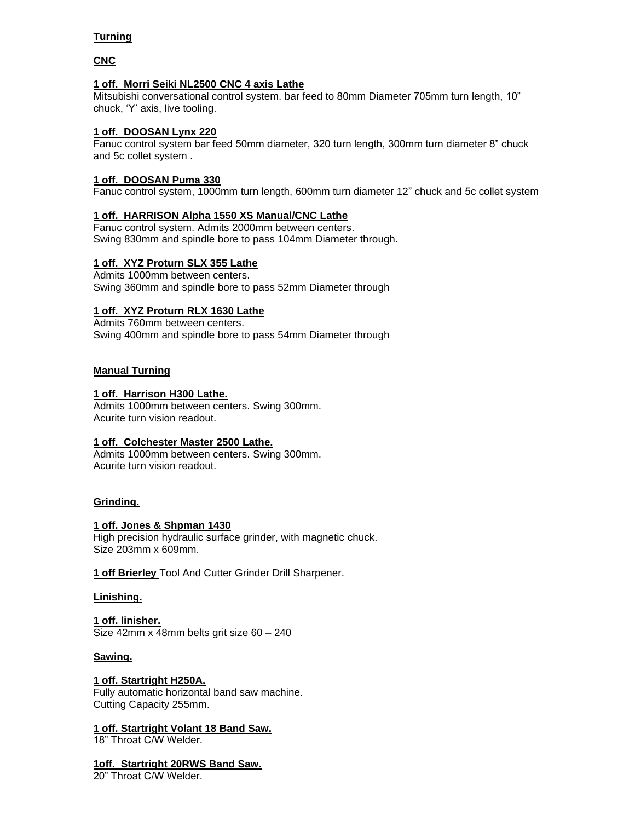## **Turning**

## **CNC**

#### **1 off. Morri Seiki NL2500 CNC 4 axis Lathe**

Mitsubishi conversational control system. bar feed to 80mm Diameter 705mm turn length, 10" chuck, 'Y' axis, live tooling.

#### **1 off. DOOSAN Lynx 220**

Fanuc control system bar feed 50mm diameter, 320 turn length, 300mm turn diameter 8" chuck and 5c collet system .

#### **1 off. DOOSAN Puma 330**

Fanuc control system, 1000mm turn length, 600mm turn diameter 12" chuck and 5c collet system

#### **1 off. HARRISON Alpha 1550 XS Manual/CNC Lathe**

Fanuc control system. Admits 2000mm between centers. Swing 830mm and spindle bore to pass 104mm Diameter through.

#### **1 off. XYZ Proturn SLX 355 Lathe**

Admits 1000mm between centers. Swing 360mm and spindle bore to pass 52mm Diameter through

#### **1 off. XYZ Proturn RLX 1630 Lathe**

Admits 760mm between centers. Swing 400mm and spindle bore to pass 54mm Diameter through

#### **Manual Turning**

#### **1 off. Harrison H300 Lathe.**

Admits 1000mm between centers. Swing 300mm. Acurite turn vision readout.

#### **1 off. Colchester Master 2500 Lathe.**

Admits 1000mm between centers. Swing 300mm. Acurite turn vision readout.

#### **Grinding.**

#### **1 off. Jones & Shpman 1430**

High precision hydraulic surface grinder, with magnetic chuck. Size 203mm x 609mm.

**1 off Brierley** Tool And Cutter Grinder Drill Sharpener.

#### **Linishing.**

**1 off. linisher.** Size 42mm x 48mm belts grit size 60 – 240

#### **Sawing.**

#### **1 off. Startright H250A.**

Fully automatic horizontal band saw machine. Cutting Capacity 255mm.

## **1 off. Startright Volant 18 Band Saw.**

18" Throat C/W Welder.

## **1off. Startright 20RWS Band Saw.**

20" Throat C/W Welder.